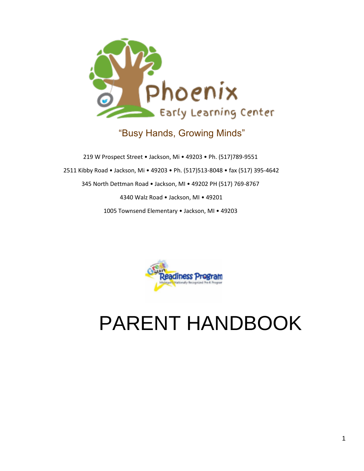

# "Busy Hands, Growing Minds"

219 W Prospect Street • Jackson, Mi • 49203 • Ph. (517)789-9551 2511 Kibby Road • Jackson, Mi • 49203 • Ph. (517)513-8048 • fax (517) 395-4642 345 North Dettman Road • Jackson, MI • 49202 PH (517) 769-8767 4340 Walz Road • Jackson, MI • 49201 1005 Townsend Elementary • Jackson, MI • 49203



# PARENT HANDBOOK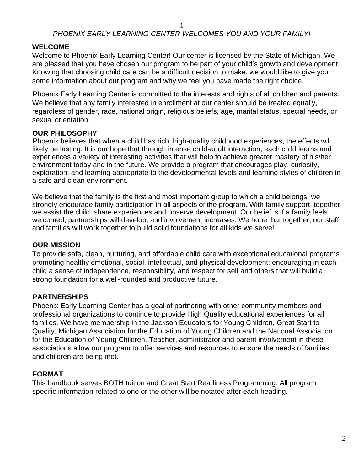## *PHOENIX EARLY LEARNING CENTER WELCOMES YOU AND YOUR FAMILY!*

## **WELCOME**

Welcome to Phoenix Early Learning Center! Our center is licensed by the State of Michigan. We are pleased that you have chosen our program to be part of your child's growth and development. Knowing that choosing child care can be a difficult decision to make, we would like to give you some information about our program and why we feel you have made the right choice.

Phoenix Early Learning Center is committed to the interests and rights of all children and parents. We believe that any family interested in enrollment at our center should be treated equally, regardless of gender, race, national origin, religious beliefs, age, marital status, special needs, or sexual orientation.

## **OUR PHILOSOPHY**

Phoenix believes that when a child has rich, high-quality childhood experiences, the effects will likely be lasting. It is our hope that through intense child-adult interaction, each child learns and experiences a variety of interesting activities that will help to achieve greater mastery of his/her environment today and in the future. We provide a program that encourages play, curiosity, exploration, and learning appropriate to the developmental levels and learning styles of children in a safe and clean environment.

We believe that the family is the first and most important group to which a child belongs; we strongly encourage family participation in all aspects of the program. With family support, together we assist the child, share experiences and observe development. Our belief is if a family feels welcomed, partnerships will develop, and involvement increases. We hope that together, our staff and families will work together to build solid foundations for all kids we serve!

## **OUR MISSION**

To provide safe, clean, nurturing, and affordable child care with exceptional educational programs promoting healthy emotional, social, intellectual, and physical development; encouraging in each child a sense of independence, responsibility, and respect for self and others that will build a strong foundation for a well-rounded and productive future.

## **PARTNERSHIPS**

Phoenix Early Learning Center has a goal of partnering with other community members and professional organizations to continue to provide High Quality educational experiences for all families. We have membership in the Jackson Educators for Young Children, Great Start to Quality, Michigan Association for the Education of Young Children and the National Association for the Education of Young Children. Teacher, administrator and parent involvement in these associations allow our program to offer services and resources to ensure the needs of families and children are being met.

## **FORMAT**

This handbook serves BOTH tuition and Great Start Readiness Programming. All program specific information related to one or the other will be notated after each heading.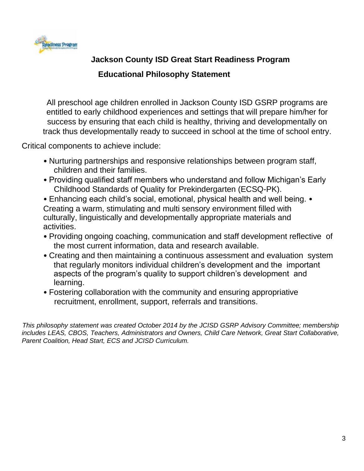

# **Jackson County ISD Great Start Readiness Program**

## **Educational Philosophy Statement**

All preschool age children enrolled in Jackson County ISD GSRP programs are entitled to early childhood experiences and settings that will prepare him/her for success by ensuring that each child is healthy, thriving and developmentally on track thus developmentally ready to succeed in school at the time of school entry.

Critical components to achieve include:

- Nurturing partnerships and responsive relationships between program staff, children and their families.
- Providing qualified staff members who understand and follow Michigan's Early Childhood Standards of Quality for Prekindergarten (ECSQ-PK).

• Enhancing each child's social, emotional, physical health and well being. • Creating a warm, stimulating and multi sensory environment filled with culturally, linguistically and developmentally appropriate materials and activities.

- Providing ongoing coaching, communication and staff development reflective of the most current information, data and research available.
- Creating and then maintaining a continuous assessment and evaluation system that regularly monitors individual children's development and the important aspects of the program's quality to support children's development and learning.
- Fostering collaboration with the community and ensuring appropriative recruitment, enrollment, support, referrals and transitions.

*This philosophy statement was created October 2014 by the JCISD GSRP Advisory Committee; membership includes LEAS, CBOS, Teachers, Administrators and Owners, Child Care Network, Great Start Collaborative, Parent Coalition, Head Start, ECS and JCISD Curriculum.*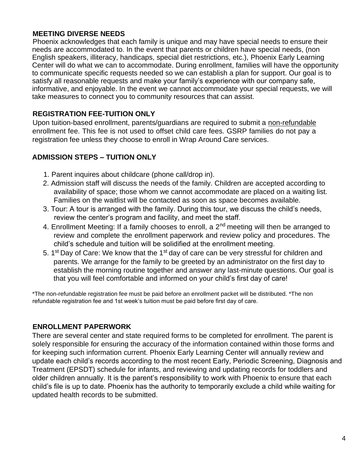#### **MEETING DIVERSE NEEDS**

Phoenix acknowledges that each family is unique and may have special needs to ensure their needs are accommodated to. In the event that parents or children have special needs, (non English speakers, illiteracy, handicaps, special diet restrictions, etc.), Phoenix Early Learning Center will do what we can to accommodate. During enrollment, families will have the opportunity to communicate specific requests needed so we can establish a plan for support. Our goal is to satisfy all reasonable requests and make your family's experience with our company safe, informative, and enjoyable. In the event we cannot accommodate your special requests, we will take measures to connect you to community resources that can assist.

## **REGISTRATION FEE-TUITION ONLY**

Upon tuition-based enrollment, parents/guardians are required to submit a non-refundable enrollment fee. This fee is not used to offset child care fees. GSRP families do not pay a registration fee unless they choose to enroll in Wrap Around Care services.

## **ADMISSION STEPS – TUITION ONLY**

- 1. Parent inquires about childcare (phone call/drop in).
- 2. Admission staff will discuss the needs of the family. Children are accepted according to availability of space; those whom we cannot accommodate are placed on a waiting list. Families on the waitlist will be contacted as soon as space becomes available.
- 3. Tour: A tour is arranged with the family. During this tour, we discuss the child's needs, review the center's program and facility, and meet the staff.
- 4. Enrollment Meeting: If a family chooses to enroll, a  $2<sup>nd</sup>$  meeting will then be arranged to review and complete the enrollment paperwork and review policy and procedures. The child's schedule and tuition will be solidified at the enrollment meeting.
- 5. 1<sup>st</sup> Day of Care: We know that the 1<sup>st</sup> day of care can be very stressful for children and parents. We arrange for the family to be greeted by an administrator on the first day to establish the morning routine together and answer any last-minute questions. Our goal is that you will feel comfortable and informed on your child's first day of care!

\*The non-refundable registration fee must be paid before an enrollment packet will be distributed. \*The non refundable registration fee and 1st week's tuition must be paid before first day of care.

## **ENROLLMENT PAPERWORK**

There are several center and state required forms to be completed for enrollment. The parent is solely responsible for ensuring the accuracy of the information contained within those forms and for keeping such information current. Phoenix Early Learning Center will annually review and update each child's records according to the most recent Early, Periodic Screening, Diagnosis and Treatment (EPSDT) schedule for infants, and reviewing and updating records for toddlers and older children annually. It is the parent's responsibility to work with Phoenix to ensure that each child's file is up to date. Phoenix has the authority to temporarily exclude a child while waiting for updated health records to be submitted.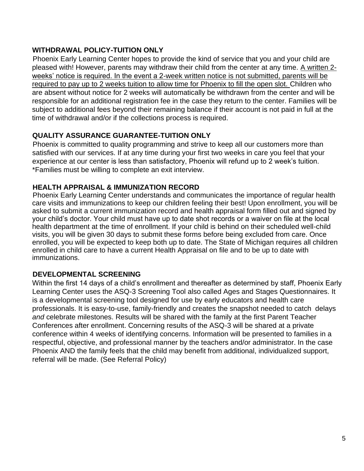## **WITHDRAWAL POLICY-TUITION ONLY**

Phoenix Early Learning Center hopes to provide the kind of service that you and your child are pleased with! However, parents may withdraw their child from the center at any time. A written 2 weeks' notice is required. In the event a 2-week written notice is not submitted, parents will be required to pay up to 2 weeks tuition to allow time for Phoenix to fill the open slot. Children who are absent without notice for 2 weeks will automatically be withdrawn from the center and will be responsible for an additional registration fee in the case they return to the center. Families will be subject to additional fees beyond their remaining balance if their account is not paid in full at the time of withdrawal and/or if the collections process is required.

## **QUALITY ASSURANCE GUARANTEE-TUITION ONLY**

Phoenix is committed to quality programming and strive to keep all our customers more than satisfied with our services. If at any time during your first two weeks in care you feel that your experience at our center is less than satisfactory, Phoenix will refund up to 2 week's tuition. \*Families must be willing to complete an exit interview.

## **HEALTH APPRAISAL & IMMUNIZATION RECORD**

Phoenix Early Learning Center understands and communicates the importance of regular health care visits and immunizations to keep our children feeling their best! Upon enrollment, you will be asked to submit a current immunization record and health appraisal form filled out and signed by your child's doctor. Your child must have up to date shot records or a waiver on file at the local health department at the time of enrollment. If your child is behind on their scheduled well-child visits, you will be given 30 days to submit these forms before being excluded from care. Once enrolled, you will be expected to keep both up to date. The State of Michigan requires all children enrolled in child care to have a current Health Appraisal on file and to be up to date with immunizations.

## **DEVELOPMENTAL SCREENING**

Within the first 14 days of a child's enrollment and thereafter as determined by staff, Phoenix Early Learning Center uses the ASQ-3 Screening Tool also called Ages and Stages Questionnaires. It is a developmental screening tool designed for use by early educators and health care professionals. It is easy-to-use, family-friendly and creates the snapshot needed to catch delays *and* celebrate milestones. Results will be shared with the family at the first Parent Teacher Conferences after enrollment. Concerning results of the ASQ-3 will be shared at a private conference within 4 weeks of identifying concerns. Information will be presented to families in a respectful, objective, and professional manner by the teachers and/or administrator. In the case Phoenix AND the family feels that the child may benefit from additional, individualized support, referral will be made. (See Referral Policy)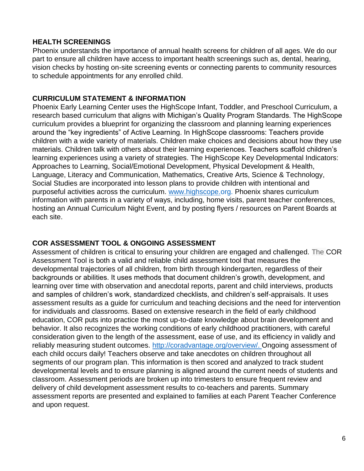## **HEALTH SCREENINGS**

Phoenix understands the importance of annual health screens for children of all ages. We do our part to ensure all children have access to important health screenings such as, dental, hearing, vision checks by hosting on-site screening events or connecting parents to community resources to schedule appointments for any enrolled child.

## **CURRICULUM STATEMENT & INFORMATION**

Phoenix Early Learning Center uses the HighScope Infant, Toddler, and Preschool Curriculum, a research based curriculum that aligns with Michigan's Quality Program Standards. The HighScope curriculum provides a blueprint for organizing the classroom and planning learning experiences around the "key ingredients" of Active Learning. In HighScope classrooms: Teachers provide children with a wide variety of materials. Children make choices and decisions about how they use materials. Children talk with others about their learning experiences. Teachers scaffold children's learning experiences using a variety of strategies. The HighScope Key Developmental Indicators: Approaches to Learning, Social/Emotional Development, Physical Development & Health, Language, Literacy and Communication, Mathematics, Creative Arts, Science & Technology, Social Studies are incorporated into lesson plans to provide children with intentional and purposeful activities across the curriculum. www.highscope.org. Phoenix shares curriculum information with parents in a variety of ways, including, home visits, parent teacher conferences, hosting an Annual Curriculum Night Event, and by posting flyers / resources on Parent Boards at each site.

## **COR ASSESSMENT TOOL & ONGOING ASSESSMENT**

Assessment of children is critical to ensuring your children are engaged and challenged. The COR Assessment Tool is both a valid and reliable child assessment tool that measures the developmental trajectories of all children, from birth through kindergarten, regardless of their backgrounds or abilities. It uses methods that document children's growth, development, and learning over time with observation and anecdotal reports, parent and child interviews, products and samples of children's work, standardized checklists, and children's self-appraisals. It uses assessment results as a guide for curriculum and teaching decisions and the need for intervention for individuals and classrooms. Based on extensive research in the field of early childhood education, COR puts into practice the most up-to-date knowledge about brain development and behavior. It also recognizes the working conditions of early childhood practitioners, with careful consideration given to the length of the assessment, ease of use, and its efficiency in validly and reliably measuring student outcomes. http://coradvantage.org/overview/. Ongoing assessment of each child occurs daily! Teachers observe and take anecdotes on children throughout all segments of our program plan. This information is then scored and analyzed to track student developmental levels and to ensure planning is aligned around the current needs of students and classroom. Assessment periods are broken up into trimesters to ensure frequent review and delivery of child development assessment results to co-teachers and parents. Summary assessment reports are presented and explained to families at each Parent Teacher Conference and upon request.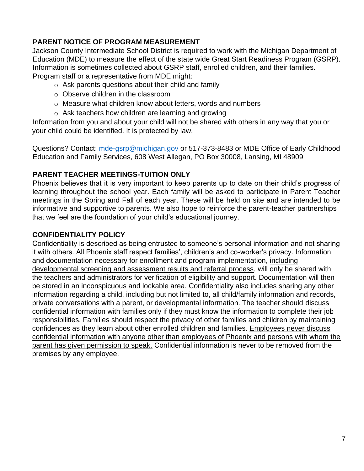## **PARENT NOTICE OF PROGRAM MEASUREMENT**

Jackson County Intermediate School District is required to work with the Michigan Department of Education (MDE) to measure the effect of the state wide Great Start Readiness Program (GSRP). Information is sometimes collected about GSRP staff, enrolled children, and their families. Program staff or a representative from MDE might:

- $\circ$  Ask parents questions about their child and family
- o Observe children in the classroom
- o Measure what children know about letters, words and numbers
- o Ask teachers how children are learning and growing

Information from you and about your child will not be shared with others in any way that you or your child could be identified. It is protected by law.

Questions? Contact: mde-gsrp@michigan.gov or 517-373-8483 or MDE Office of Early Childhood Education and Family Services, 608 West Allegan, PO Box 30008, Lansing, MI 48909

## **PARENT TEACHER MEETINGS-TUITION ONLY**

Phoenix believes that it is very important to keep parents up to date on their child's progress of learning throughout the school year. Each family will be asked to participate in Parent Teacher meetings in the Spring and Fall of each year. These will be held on site and are intended to be informative and supportive to parents. We also hope to reinforce the parent-teacher partnerships that we feel are the foundation of your child's educational journey.

## **CONFIDENTIALITY POLICY**

Confidentiality is described as being entrusted to someone's personal information and not sharing it with others. All Phoenix staff respect families', children's and co-worker's privacy. Information and documentation necessary for enrollment and program implementation, including developmental screening and assessment results and referral process, will only be shared with the teachers and administrators for verification of eligibility and support. Documentation will then be stored in an inconspicuous and lockable area. Confidentiality also includes sharing any other information regarding a child, including but not limited to, all child/family information and records, private conversations with a parent, or developmental information. The teacher should discuss confidential information with families only if they must know the information to complete their job responsibilities. Families should respect the privacy of other families and children by maintaining confidences as they learn about other enrolled children and families. Employees never discuss confidential information with anyone other than employees of Phoenix and persons with whom the parent has given permission to speak. Confidential information is never to be removed from the premises by any employee.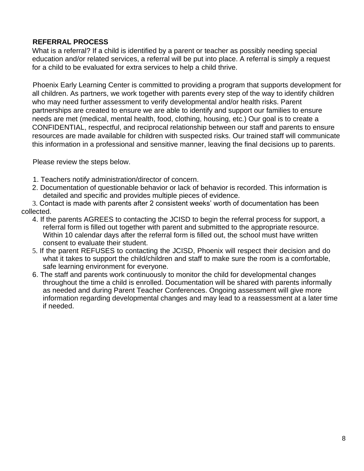## **REFERRAL PROCESS**

What is a referral? If a child is identified by a parent or teacher as possibly needing special education and/or related services, a referral will be put into place. A referral is simply a request for a child to be evaluated for extra services to help a child thrive.

Phoenix Early Learning Center is committed to providing a program that supports development for all children. As partners, we work together with parents every step of the way to identify children who may need further assessment to verify developmental and/or health risks. Parent partnerships are created to ensure we are able to identify and support our families to ensure needs are met (medical, mental health, food, clothing, housing, etc.) Our goal is to create a CONFIDENTIAL, respectful, and reciprocal relationship between our staff and parents to ensure resources are made available for children with suspected risks. Our trained staff will communicate this information in a professional and sensitive manner, leaving the final decisions up to parents.

Please review the steps below.

- 1. Teachers notify administration/director of concern.
- 2. Documentation of questionable behavior or lack of behavior is recorded. This information is detailed and specific and provides multiple pieces of evidence.
- 3. Contact is made with parents after 2 consistent weeks' worth of documentation has been collected.
	- 4. If the parents AGREES to contacting the JCISD to begin the referral process for support, a referral form is filled out together with parent and submitted to the appropriate resource. Within 10 calendar days after the referral form is filled out, the school must have written consent to evaluate their student.
	- 5. If the parent REFUSES to contacting the JCISD, Phoenix will respect their decision and do what it takes to support the child/children and staff to make sure the room is a comfortable, safe learning environment for everyone.
	- 6. The staff and parents work continuously to monitor the child for developmental changes throughout the time a child is enrolled. Documentation will be shared with parents informally as needed and during Parent Teacher Conferences. Ongoing assessment will give more information regarding developmental changes and may lead to a reassessment at a later time if needed.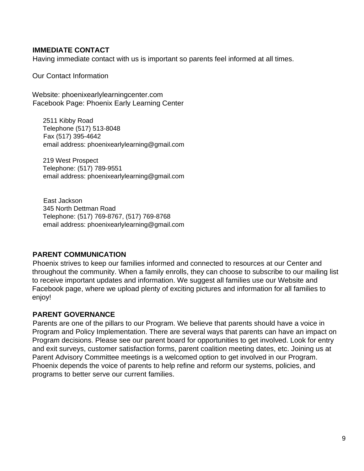## **IMMEDIATE CONTACT**

Having immediate contact with us is important so parents feel informed at all times.

Our Contact Information

Website: phoenixearlylearningcenter.com Facebook Page: Phoenix Early Learning Center

2511 Kibby Road Telephone (517) 513-8048 Fax (517) 395-4642 email address: phoenixearlylearning@gmail.com

219 West Prospect Telephone: (517) 789-9551 email address: phoenixearlylearning@gmail.com

East Jackson 345 North Dettman Road Telephone: (517) 769-8767, (517) 769-8768 email address: phoenixearlylearning@gmail.com

#### **PARENT COMMUNICATION**

Phoenix strives to keep our families informed and connected to resources at our Center and throughout the community. When a family enrolls, they can choose to subscribe to our mailing list to receive important updates and information. We suggest all families use our Website and Facebook page, where we upload plenty of exciting pictures and information for all families to enjoy!

#### **PARENT GOVERNANCE**

Parents are one of the pillars to our Program. We believe that parents should have a voice in Program and Policy Implementation. There are several ways that parents can have an impact on Program decisions. Please see our parent board for opportunities to get involved. Look for entry and exit surveys, customer satisfaction forms, parent coalition meeting dates, etc. Joining us at Parent Advisory Committee meetings is a welcomed option to get involved in our Program. Phoenix depends the voice of parents to help refine and reform our systems, policies, and programs to better serve our current families.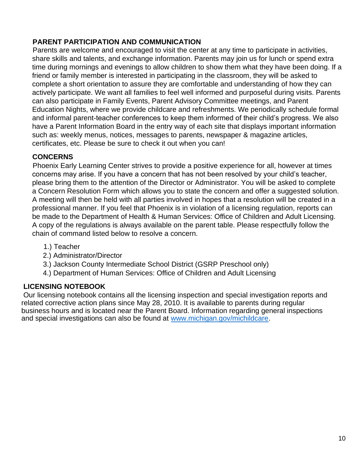## **PARENT PARTICIPATION AND COMMUNICATION**

Parents are welcome and encouraged to visit the center at any time to participate in activities, share skills and talents, and exchange information. Parents may join us for lunch or spend extra time during mornings and evenings to allow children to show them what they have been doing. If a friend or family member is interested in participating in the classroom, they will be asked to complete a short orientation to assure they are comfortable and understanding of how they can actively participate. We want all families to feel well informed and purposeful during visits. Parents can also participate in Family Events, Parent Advisory Committee meetings, and Parent Education Nights, where we provide childcare and refreshments. We periodically schedule formal and informal parent-teacher conferences to keep them informed of their child's progress. We also have a Parent Information Board in the entry way of each site that displays important information such as: weekly menus, notices, messages to parents, newspaper & magazine articles, certificates, etc. Please be sure to check it out when you can!

## **CONCERNS**

Phoenix Early Learning Center strives to provide a positive experience for all, however at times concerns may arise. If you have a concern that has not been resolved by your child's teacher, please bring them to the attention of the Director or Administrator. You will be asked to complete a Concern Resolution Form which allows you to state the concern and offer a suggested solution. A meeting will then be held with all parties involved in hopes that a resolution will be created in a professional manner. If you feel that Phoenix is in violation of a licensing regulation, reports can be made to the Department of Health & Human Services: Office of Children and Adult Licensing. A copy of the regulations is always available on the parent table. Please respectfully follow the chain of command listed below to resolve a concern.

- 1.) Teacher
- 2.) Administrator/Director
- 3.) Jackson County Intermediate School District (GSRP Preschool only)
- 4.) Department of Human Services: Office of Children and Adult Licensing

## **LICENSING NOTEBOOK**

Our licensing notebook contains all the licensing inspection and special investigation reports and related corrective action plans since May 28, 2010. It is available to parents during regular business hours and is located near the Parent Board. Information regarding general inspections and special investigations can also be found at www.michigan.gov/michildcare.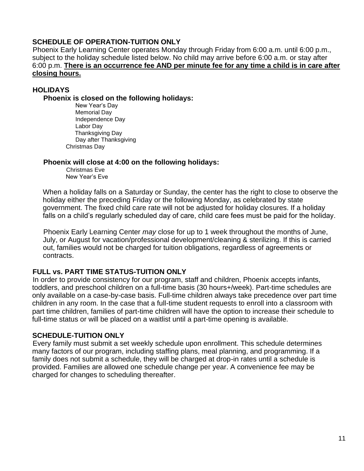#### **SCHEDULE OF OPERATION-TUITION ONLY**

Phoenix Early Learning Center operates Monday through Friday from 6:00 a.m. until 6:00 p.m., subject to the holiday schedule listed below. No child may arrive before 6:00 a.m. or stay after 6:00 p.m. **There is an occurrence fee AND per minute fee for any time a child is in care after closing hours.** 

#### **HOLIDAYS**

**Phoenix is closed on the following holidays:** 

New Year's Day Memorial Day Independence Day Labor Day Thanksgiving Day Day after Thanksgiving Christmas Day

#### **Phoenix will close at 4:00 on the following holidays:**

Christmas Eve New Year's Eve

When a holiday falls on a Saturday or Sunday, the center has the right to close to observe the holiday either the preceding Friday or the following Monday, as celebrated by state government. The fixed child care rate will not be adjusted for holiday closures. If a holiday falls on a child's regularly scheduled day of care, child care fees must be paid for the holiday.

Phoenix Early Learning Center *may* close for up to 1 week throughout the months of June, July, or August for vacation/professional development/cleaning & sterilizing. If this is carried out, families would not be charged for tuition obligations, regardless of agreements or contracts.

#### **FULL vs. PART TIME STATUS-TUITION ONLY**

In order to provide consistency for our program, staff and children, Phoenix accepts infants, toddlers, and preschool children on a full-time basis (30 hours+/week). Part-time schedules are only available on a case-by-case basis. Full-time children always take precedence over part time children in any room. In the case that a full-time student requests to enroll into a classroom with part time children, families of part-time children will have the option to increase their schedule to full-time status or will be placed on a waitlist until a part-time opening is available.

#### **SCHEDULE-TUITION ONLY**

Every family must submit a set weekly schedule upon enrollment. This schedule determines many factors of our program, including staffing plans, meal planning, and programming. If a family does not submit a schedule, they will be charged at drop-in rates until a schedule is provided. Families are allowed one schedule change per year. A convenience fee may be charged for changes to scheduling thereafter.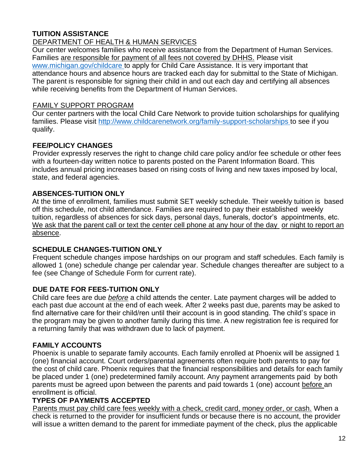## **TUITION ASSISTANCE**

#### DEPARTMENT OF HEALTH & HUMAN SERVICES

Our center welcomes families who receive assistance from the Department of Human Services. Families are responsible for payment of all fees not covered by DHHS. Please visit www.michigan.gov/childcare to apply for Child Care Assistance. It is very important that attendance hours and absence hours are tracked each day for submittal to the State of Michigan. The parent is responsible for signing their child in and out each day and certifying all absences while receiving benefits from the Department of Human Services.

#### FAMILY SUPPORT PROGRAM

Our center partners with the local Child Care Network to provide tuition scholarships for qualifying families. Please visit http://www.childcarenetwork.org/family-support-scholarships to see if you qualify.

## **FEE/POLICY CHANGES**

Provider expressly reserves the right to change child care policy and/or fee schedule or other fees with a fourteen-day written notice to parents posted on the Parent Information Board. This includes annual pricing increases based on rising costs of living and new taxes imposed by local, state, and federal agencies.

## **ABSENCES-TUITION ONLY**

At the time of enrollment, families must submit SET weekly schedule. Their weekly tuition is based off this schedule, not child attendance. Families are required to pay their established weekly tuition, regardless of absences for sick days, personal days, funerals, doctor's appointments, etc. We ask that the parent call or text the center cell phone at any hour of the day or night to report an absence.

## **SCHEDULE CHANGES-TUITION ONLY**

Frequent schedule changes impose hardships on our program and staff schedules. Each family is allowed 1 (one) schedule change per calendar year. Schedule changes thereafter are subject to a fee (see Change of Schedule Form for current rate).

#### **DUE DATE FOR FEES-TUITION ONLY**

Child care fees are due *before* a child attends the center. Late payment charges will be added to each past due account at the end of each week. After 2 weeks past due, parents may be asked to find alternative care for their child/ren until their account is in good standing. The child's space in the program may be given to another family during this time. A new registration fee is required for a returning family that was withdrawn due to lack of payment.

#### **FAMILY ACCOUNTS**

Phoenix is unable to separate family accounts. Each family enrolled at Phoenix will be assigned 1 (one) financial account. Court orders/parental agreements often require both parents to pay for the cost of child care. Phoenix requires that the financial responsibilities and details for each family be placed under 1 (one) predetermined family account. Any payment arrangements paid by both parents must be agreed upon between the parents and paid towards 1 (one) account before an enrollment is official.

#### **TYPES OF PAYMENTS ACCEPTED**

Parents must pay child care fees weekly with a check, credit card, money order, or cash. When a check is returned to the provider for insufficient funds or because there is no account, the provider will issue a written demand to the parent for immediate payment of the check, plus the applicable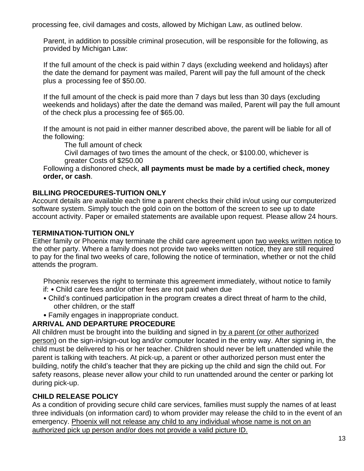processing fee, civil damages and costs, allowed by Michigan Law, as outlined below.

Parent, in addition to possible criminal prosecution, will be responsible for the following, as provided by Michigan Law:

If the full amount of the check is paid within 7 days (excluding weekend and holidays) after the date the demand for payment was mailed, Parent will pay the full amount of the check plus a processing fee of \$50.00.

If the full amount of the check is paid more than 7 days but less than 30 days (excluding weekends and holidays) after the date the demand was mailed, Parent will pay the full amount of the check plus a processing fee of \$65.00.

If the amount is not paid in either manner described above, the parent will be liable for all of the following:

The full amount of check

Civil damages of two times the amount of the check, or \$100.00, whichever is greater Costs of \$250.00

Following a dishonored check, **all payments must be made by a certified check, money order, or cash**.

## **BILLING PROCEDURES-TUITION ONLY**

Account details are available each time a parent checks their child in/out using our computerized software system. Simply touch the gold coin on the bottom of the screen to see up to date account activity. Paper or emailed statements are available upon request. Please allow 24 hours.

## **TERMINATION-TUITION ONLY**

Either family or Phoenix may terminate the child care agreement upon two weeks written notice to the other party. Where a family does not provide two weeks written notice, they are still required to pay for the final two weeks of care, following the notice of termination, whether or not the child attends the program.

Phoenix reserves the right to terminate this agreement immediately, without notice to family if: • Child care fees and/or other fees are not paid when due

- Child's continued participation in the program creates a direct threat of harm to the child, other children, or the staff
- Family engages in inappropriate conduct.

## **ARRIVAL AND DEPARTURE PROCEDURE**

All children must be brought into the building and signed in by a parent (or other authorized person) on the sign-in/sign-out log and/or computer located in the entry way. After signing in, the child must be delivered to his or her teacher. Children should never be left unattended while the parent is talking with teachers. At pick-up, a parent or other authorized person must enter the building, notify the child's teacher that they are picking up the child and sign the child out. For safety reasons, please never allow your child to run unattended around the center or parking lot during pick-up.

## **CHILD RELEASE POLICY**

As a condition of providing secure child care services, families must supply the names of at least three individuals (on information card) to whom provider may release the child to in the event of an emergency. Phoenix will not release any child to any individual whose name is not on an authorized pick up person and/or does not provide a valid picture ID.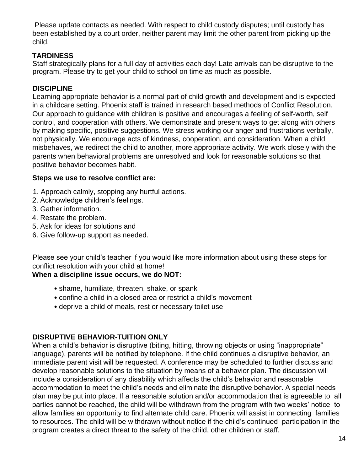Please update contacts as needed. With respect to child custody disputes; until custody has been established by a court order, neither parent may limit the other parent from picking up the child.

## **TARDINESS**

Staff strategically plans for a full day of activities each day! Late arrivals can be disruptive to the program. Please try to get your child to school on time as much as possible.

## **DISCIPLINE**

Learning appropriate behavior is a normal part of child growth and development and is expected in a childcare setting. Phoenix staff is trained in research based methods of Conflict Resolution. Our approach to guidance with children is positive and encourages a feeling of self-worth, self control, and cooperation with others. We demonstrate and present ways to get along with others by making specific, positive suggestions. We stress working our anger and frustrations verbally, not physically. We encourage acts of kindness, cooperation, and consideration. When a child misbehaves, we redirect the child to another, more appropriate activity. We work closely with the parents when behavioral problems are unresolved and look for reasonable solutions so that positive behavior becomes habit.

## **Steps we use to resolve conflict are:**

- 1. Approach calmly, stopping any hurtful actions.
- 2. Acknowledge children's feelings.
- 3. Gather information.
- 4. Restate the problem.
- 5. Ask for ideas for solutions and
- 6. Give follow-up support as needed.

Please see your child's teacher if you would like more information about using these steps for conflict resolution with your child at home!

## **When a discipline issue occurs, we do NOT:**

- shame, humiliate, threaten, shake, or spank
- confine a child in a closed area or restrict a child's movement
- deprive a child of meals, rest or necessary toilet use

## **DISRUPTIVE BEHAVIOR-TUITION ONLY**

When a child's behavior is disruptive (biting, hitting, throwing objects or using "inappropriate" language), parents will be notified by telephone. If the child continues a disruptive behavior, an immediate parent visit will be requested. A conference may be scheduled to further discuss and develop reasonable solutions to the situation by means of a behavior plan. The discussion will include a consideration of any disability which affects the child's behavior and reasonable accommodation to meet the child's needs and eliminate the disruptive behavior. A special needs plan may be put into place. If a reasonable solution and/or accommodation that is agreeable to all parties cannot be reached, the child will be withdrawn from the program with two weeks' notice to allow families an opportunity to find alternate child care. Phoenix will assist in connecting families to resources. The child will be withdrawn without notice if the child's continued participation in the program creates a direct threat to the safety of the child, other children or staff.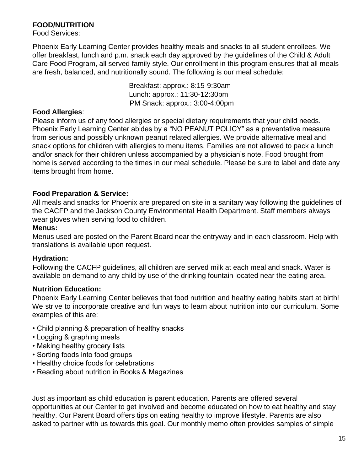## **FOOD/NUTRITION**

Food Services:

Phoenix Early Learning Center provides healthy meals and snacks to all student enrollees. We offer breakfast, lunch and p.m. snack each day approved by the guidelines of the Child & Adult Care Food Program, all served family style. Our enrollment in this program ensures that all meals are fresh, balanced, and nutritionally sound. The following is our meal schedule:

> Breakfast: approx.: 8:15-9:30am Lunch: approx.: 11:30-12:30pm PM Snack: approx.: 3:00-4:00pm

#### **Food Allergies**:

Please inform us of any food allergies or special dietary requirements that your child needs. Phoenix Early Learning Center abides by a "NO PEANUT POLICY" as a preventative measure from serious and possibly unknown peanut related allergies. We provide alternative meal and snack options for children with allergies to menu items. Families are not allowed to pack a lunch and/or snack for their children unless accompanied by a physician's note. Food brought from home is served according to the times in our meal schedule. Please be sure to label and date any items brought from home.

## **Food Preparation & Service:**

All meals and snacks for Phoenix are prepared on site in a sanitary way following the guidelines of the CACFP and the Jackson County Environmental Health Department. Staff members always wear gloves when serving food to children.

#### **Menus:**

Menus used are posted on the Parent Board near the entryway and in each classroom. Help with translations is available upon request.

## **Hydration:**

Following the CACFP guidelines, all children are served milk at each meal and snack. Water is available on demand to any child by use of the drinking fountain located near the eating area.

## **Nutrition Education:**

Phoenix Early Learning Center believes that food nutrition and healthy eating habits start at birth! We strive to incorporate creative and fun ways to learn about nutrition into our curriculum. Some examples of this are:

- Child planning & preparation of healthy snacks
- Logging & graphing meals
- Making healthy grocery lists
- Sorting foods into food groups
- Healthy choice foods for celebrations
- Reading about nutrition in Books & Magazines

Just as important as child education is parent education. Parents are offered several opportunities at our Center to get involved and become educated on how to eat healthy and stay healthy. Our Parent Board offers tips on eating healthy to improve lifestyle. Parents are also asked to partner with us towards this goal. Our monthly memo often provides samples of simple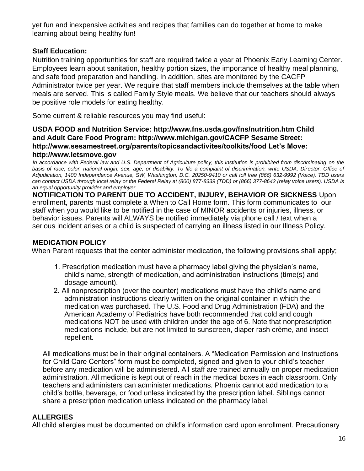yet fun and inexpensive activities and recipes that families can do together at home to make learning about being healthy fun!

## **Staff Education:**

Nutrition training opportunities for staff are required twice a year at Phoenix Early Learning Center. Employees learn about sanitation, healthy portion sizes, the importance of healthy meal planning, and safe food preparation and handling. In addition, sites are monitored by the CACFP Administrator twice per year. We require that staff members include themselves at the table when meals are served. This is called Family Style meals. We believe that our teachers should always be positive role models for eating healthy.

Some current & reliable resources you may find useful:

## **USDA FOOD and Nutrition Service: http://www.fns.usda.gov/fns/nutrition.htm Child and Adult Care Food Program: http://www.michigan.gov/CACFP Sesame Street: http://www.sesamestreet.org/parents/topicsandactivites/toolkits/food Let's Move: http://www.letsmove.gov**

*In accordance with Federal law and U.S. Department of Agriculture policy, this institution is prohibited from discriminating on the basis of race, color, national origin, sex, age, or disability. To file a complaint of discrimination, write USDA, Director, Office of Adjudication, 1400 Independence Avenue, SW, Washington, D.C. 20250-9410 or call toll free (866) 632-9992 (Voice). TDD users can contact USDA through local relay or the Federal Relay at (800) 877-8339 (TDD) or (866) 377-8642 (relay voice users). USDA is an equal opportunity provider and employer.*

**NOTIFICATION TO PARENT DUE TO ACCIDENT, INJURY, BEHAVIOR OR SICKNESS** Upon enrollment, parents must complete a When to Call Home form. This form communicates to our staff when you would like to be notified in the case of MINOR accidents or injuries, illness, or behavior issues. Parents will ALWAYS be notified immediately via phone call / text when a serious incident arises or a child is suspected of carrying an illness listed in our Illness Policy.

## **MEDICATION POLICY**

When Parent requests that the center administer medication, the following provisions shall apply;

- 1. Prescription medication must have a pharmacy label giving the physician's name, child's name, strength of medication, and administration instructions (time(s) and dosage amount).
- 2. All nonprescription (over the counter) medications must have the child's name and administration instructions clearly written on the original container in which the medication was purchased. The U.S. Food and Drug Administration (FDA) and the American Academy of Pediatrics have both recommended that cold and cough medications NOT be used with children under the age of 6. Note that nonprescription medications include, but are not limited to sunscreen, diaper rash crème, and insect repellent.

All medications must be in their original containers. A "Medication Permission and Instructions for Child Care Centers" form must be completed, signed and given to your child's teacher before any medication will be administered. All staff are trained annually on proper medication administration. All medicine is kept out of reach in the medical boxes in each classroom. Only teachers and administers can administer medications. Phoenix cannot add medication to a child's bottle, beverage, or food unless indicated by the prescription label. Siblings cannot share a prescription medication unless indicated on the pharmacy label.

## **ALLERGIES**

All child allergies must be documented on child's information card upon enrollment. Precautionary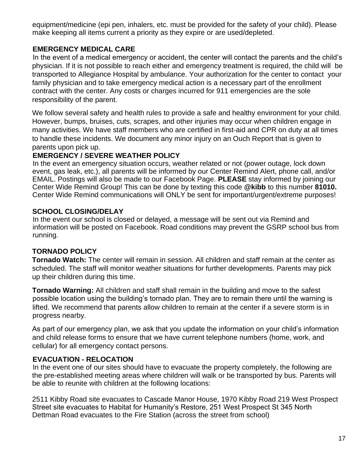equipment/medicine (epi pen, inhalers, etc. must be provided for the safety of your child). Please make keeping all items current a priority as they expire or are used/depleted.

## **EMERGENCY MEDICAL CARE**

In the event of a medical emergency or accident, the center will contact the parents and the child's physician. If it is not possible to reach either and emergency treatment is required, the child will be transported to Allegiance Hospital by ambulance. Your authorization for the center to contact your family physician and to take emergency medical action is a necessary part of the enrollment contract with the center. Any costs or charges incurred for 911 emergencies are the sole responsibility of the parent.

We follow several safety and health rules to provide a safe and healthy environment for your child. However, bumps, bruises, cuts, scrapes, and other injuries may occur when children engage in many activities. We have staff members who are certified in first-aid and CPR on duty at all times to handle these incidents. We document any minor injury on an Ouch Report that is given to parents upon pick up.

## **EMERGENCY / SEVERE WEATHER POLICY**

In the event an emergency situation occurs, weather related or not (power outage, lock down event, gas leak, etc.), all parents will be informed by our Center Remind Alert, phone call, and/or EMAIL. Postings will also be made to our Facebook Page. **PLEASE** stay informed by joining our Center Wide Remind Group! This can be done by texting this code **@kibb** to this number **81010.**  Center Wide Remind communications will ONLY be sent for important/urgent/extreme purposes!

## **SCHOOL CLOSING/DELAY**

In the event our school is closed or delayed, a message will be sent out via Remind and information will be posted on Facebook. Road conditions may prevent the GSRP school bus from running.

## **TORNADO POLICY**

**Tornado Watch:** The center will remain in session. All children and staff remain at the center as scheduled. The staff will monitor weather situations for further developments. Parents may pick up their children during this time.

**Tornado Warning:** All children and staff shall remain in the building and move to the safest possible location using the building's tornado plan. They are to remain there until the warning is lifted. We recommend that parents allow children to remain at the center if a severe storm is in progress nearby.

As part of our emergency plan, we ask that you update the information on your child's information and child release forms to ensure that we have current telephone numbers (home, work, and cellular) for all emergency contact persons.

## **EVACUATION - RELOCATION**

In the event one of our sites should have to evacuate the property completely, the following are the pre-established meeting areas where children will walk or be transported by bus. Parents will be able to reunite with children at the following locations:

2511 Kibby Road site evacuates to Cascade Manor House, 1970 Kibby Road 219 West Prospect Street site evacuates to Habitat for Humanity's Restore, 251 West Prospect St 345 North Dettman Road evacuates to the Fire Station (across the street from school)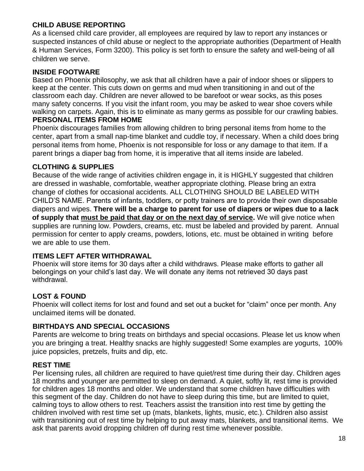## **CHILD ABUSE REPORTING**

As a licensed child care provider, all employees are required by law to report any instances or suspected instances of child abuse or neglect to the appropriate authorities (Department of Health & Human Services, Form 3200). This policy is set forth to ensure the safety and well-being of all children we serve.

#### **INSIDE FOOTWARE**

Based on Phoenix philosophy, we ask that all children have a pair of indoor shoes or slippers to keep at the center. This cuts down on germs and mud when transitioning in and out of the classroom each day. Children are never allowed to be barefoot or wear socks, as this poses many safety concerns. If you visit the infant room, you may be asked to wear shoe covers while walking on carpets. Again, this is to eliminate as many germs as possible for our crawling babies. **PERSONAL ITEMS FROM HOME** 

Phoenix discourages families from allowing children to bring personal items from home to the center, apart from a small nap-time blanket and cuddle toy, if necessary. When a child does bring personal items from home, Phoenix is not responsible for loss or any damage to that item. If a parent brings a diaper bag from home, it is imperative that all items inside are labeled.

#### **CLOTHING & SUPPLIES**

Because of the wide range of activities children engage in, it is HIGHLY suggested that children are dressed in washable, comfortable, weather appropriate clothing. Please bring an extra change of clothes for occasional accidents. ALL CLOTHING SHOULD BE LABELED WITH CHILD'S NAME. Parents of infants, toddlers, or potty trainers are to provide their own disposable diapers and wipes. **There will be a charge to parent for use of diapers or wipes due to a lack of supply that must be paid that day or on the next day of service.** We will give notice when supplies are running low. Powders, creams, etc. must be labeled and provided by parent. Annual permission for center to apply creams, powders, lotions, etc. must be obtained in writing before we are able to use them.

#### **ITEMS LEFT AFTER WITHDRAWAL**

Phoenix will store items for 30 days after a child withdraws. Please make efforts to gather all belongings on your child's last day. We will donate any items not retrieved 30 days past withdrawal.

#### **LOST & FOUND**

Phoenix will collect items for lost and found and set out a bucket for "claim" once per month. Any unclaimed items will be donated.

#### **BIRTHDAYS AND SPECIAL OCCASIONS**

Parents are welcome to bring treats on birthdays and special occasions. Please let us know when you are bringing a treat. Healthy snacks are highly suggested! Some examples are yogurts, 100% juice popsicles, pretzels, fruits and dip, etc.

#### **REST TIME**

Per licensing rules, all children are required to have quiet/rest time during their day. Children ages 18 months and younger are permitted to sleep on demand. A quiet, softly lit, rest time is provided for children ages 18 months and older. We understand that some children have difficulties with this segment of the day. Children do not have to sleep during this time, but are limited to quiet, calming toys to allow others to rest. Teachers assist the transition into rest time by getting the children involved with rest time set up (mats, blankets, lights, music, etc.). Children also assist with transitioning out of rest time by helping to put away mats, blankets, and transitional items. We ask that parents avoid dropping children off during rest time whenever possible.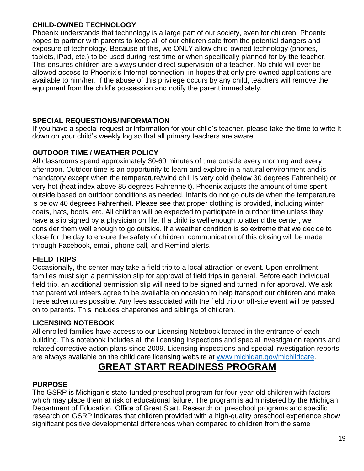## **CHILD-OWNED TECHNOLOGY**

Phoenix understands that technology is a large part of our society, even for children! Phoenix hopes to partner with parents to keep all of our children safe from the potential dangers and exposure of technology. Because of this, we ONLY allow child-owned technology (phones, tablets, iPad, etc.) to be used during rest time or when specifically planned for by the teacher. This ensures children are always under direct supervision of a teacher. No child will ever be allowed access to Phoenix's Internet connection, in hopes that only pre-owned applications are available to him/her. If the abuse of this privilege occurs by any child, teachers will remove the equipment from the child's possession and notify the parent immediately.

## **SPECIAL REQUESTIONS/INFORMATION**

If you have a special request or information for your child's teacher, please take the time to write it down on your child's weekly log so that all primary teachers are aware.

## **OUTDOOR TIME / WEATHER POLICY**

All classrooms spend approximately 30-60 minutes of time outside every morning and every afternoon. Outdoor time is an opportunity to learn and explore in a natural environment and is mandatory except when the temperature/wind chill is very cold (below 30 degrees Fahrenheit) or very hot (heat index above 85 degrees Fahrenheit). Phoenix adjusts the amount of time spent outside based on outdoor conditions as needed. Infants do not go outside when the temperature is below 40 degrees Fahrenheit. Please see that proper clothing is provided, including winter coats, hats, boots, etc. All children will be expected to participate in outdoor time unless they have a slip signed by a physician on file. If a child is well enough to attend the center, we consider them well enough to go outside. If a weather condition is so extreme that we decide to close for the day to ensure the safety of children, communication of this closing will be made through Facebook, email, phone call, and Remind alerts.

## **FIELD TRIPS**

Occasionally, the center may take a field trip to a local attraction or event. Upon enrollment, families must sign a permission slip for approval of field trips in general. Before each individual field trip, an additional permission slip will need to be signed and turned in for approval. We ask that parent volunteers agree to be available on occasion to help transport our children and make these adventures possible. Any fees associated with the field trip or off-site event will be passed on to parents. This includes chaperones and siblings of children.

## **LICENSING NOTEBOOK**

All enrolled families have access to our Licensing Notebook located in the entrance of each building. This notebook includes all the licensing inspections and special investigation reports and related corrective action plans since 2009. Licensing inspections and special investigation reports are always available on the child care licensing website at www.michigan.gov/michildcare.

# **GREAT START READINESS PROGRAM**

## **PURPOSE**

The GSRP is Michigan's state-funded preschool program for four-year-old children with factors which may place them at risk of educational failure. The program is administered by the Michigan Department of Education, Office of Great Start. Research on preschool programs and specific research on GSRP indicates that children provided with a high-quality preschool experience show significant positive developmental differences when compared to children from the same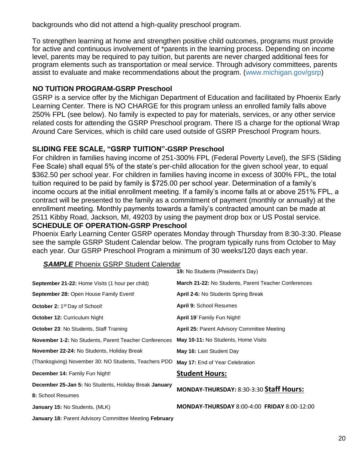backgrounds who did not attend a high-quality preschool program.

To strengthen learning at home and strengthen positive child outcomes, programs must provide for active and continuous involvement of \*parents in the learning process. Depending on income level, parents may be required to pay tuition, but parents are never charged additional fees for program elements such as transportation or meal service. Through advisory committees, parents assist to evaluate and make recommendations about the program. (www.michigan.gov/gsrp)

#### **NO TUITION PROGRAM-GSRP Preschool**

GSRP is a service offer by the Michigan Department of Education and facilitated by Phoenix Early Learning Center. There is NO CHARGE for this program unless an enrolled family falls above 250% FPL (see below). No family is expected to pay for materials, services, or any other service related costs for attending the GSRP Preschool program. There IS a charge for the optional Wrap Around Care Services, which is child care used outside of GSRP Preschool Program hours.

## **SLIDING FEE SCALE, "GSRP TUITION"-GSRP Preschool**

For children in families having income of 251-300% FPL (Federal Poverty Level), the SFS (Sliding Fee Scale) shall equal 5% of the state's per-child allocation for the given school year, to equal \$362.50 per school year. For children in families having income in excess of 300% FPL, the total tuition required to be paid by family is \$725.00 per school year. Determination of a family's income occurs at the initial enrollment meeting. If a family's income falls at or above 251% FPL, a contract will be presented to the family as a commitment of payment (monthly or annually) at the enrollment meeting. Monthly payments towards a family's contracted amount can be made at 2511 Kibby Road, Jackson, MI, 49203 by using the payment drop box or US Postal service. **SCHEDULE OF OPERATION-GSRP Preschool** 

Phoenix Early Learning Center GSRP operates Monday through Thursday from 8:30-3:30. Please see the sample GSRP Student Calendar below. The program typically runs from October to May each year. Our GSRP Preschool Program a minimum of 30 weeks/120 days each year.

|                                                              | 19: No Students (President's Day)                    |  |
|--------------------------------------------------------------|------------------------------------------------------|--|
| <b>September 21-22:</b> Home Visits (1 hour per child)       | March 21-22: No Students, Parent Teacher Conferences |  |
| September 28: Open House Family Event!                       | April 2-6: No Students Spring Break                  |  |
| <b>October 2: 1st Day of School!</b>                         | April 9: School Resumes                              |  |
| October 12: Curriculum Night                                 | <b>April 19:</b> Family Fun Night!                   |  |
| <b>October 23: No Students, Staff Training</b>               | <b>April 25: Parent Advisory Committee Meeting</b>   |  |
| <b>November 1-2: No Students, Parent Teacher Conferences</b> | May 10-11: No Students, Home Visits                  |  |
| <b>November 22-24: No Students, Holiday Break</b>            | May 16: Last Student Day                             |  |
| (Thanksgiving) November 30: NO Students, Teachers PDD        | May 17: End of Year Celebration                      |  |
| <b>December 14: Family Fun Night!</b>                        | <b>Student Hours:</b>                                |  |
| <b>December 25-Jan 5: No Students, Holiday Break January</b> | MONDAY-THURSDAY: 8:30-3:30 Staff Hours:              |  |
| 8: School Resumes                                            |                                                      |  |
| <b>January 15: No Students, (MLK)</b>                        | <b>MONDAY-THURSDAY 8:00-4:00 FRIDAY 8:00-12:00</b>   |  |
| January 18: Parent Advisory Committee Meeting February       |                                                      |  |

#### **SAMPLE** Phoenix GSRP Student Calendar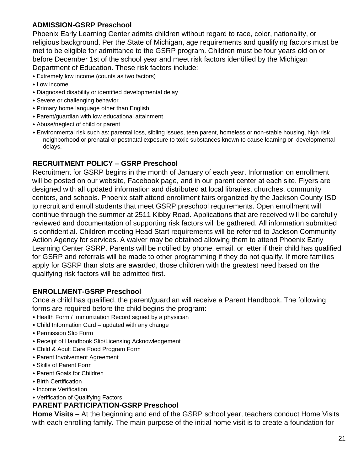## **ADMISSION-GSRP Preschool**

Phoenix Early Learning Center admits children without regard to race, color, nationality, or religious background. Per the State of Michigan, age requirements and qualifying factors must be met to be eligible for admittance to the GSRP program. Children must be four years old on or before December 1st of the school year and meet risk factors identified by the Michigan Department of Education. These risk factors include:

- Extremely low income (counts as two factors)
- Low income
- Diagnosed disability or identified developmental delay
- Severe or challenging behavior
- Primary home language other than English
- Parent/guardian with low educational attainment
- Abuse/neglect of child or parent
- Environmental risk such as: parental loss, sibling issues, teen parent, homeless or non-stable housing, high risk neighborhood or prenatal or postnatal exposure to toxic substances known to cause learning or developmental delays.

## **RECRUITMENT POLICY – GSRP Preschool**

Recruitment for GSRP begins in the month of January of each year. Information on enrollment will be posted on our website, Facebook page, and in our parent center at each site. Flyers are designed with all updated information and distributed at local libraries, churches, community centers, and schools. Phoenix staff attend enrollment fairs organized by the Jackson County ISD to recruit and enroll students that meet GSRP preschool requirements. Open enrollment will continue through the summer at 2511 Kibby Road. Applications that are received will be carefully reviewed and documentation of supporting risk factors will be gathered. All information submitted is confidential. Children meeting Head Start requirements will be referred to Jackson Community Action Agency for services. A waiver may be obtained allowing them to attend Phoenix Early Learning Center GSRP. Parents will be notified by phone, email, or letter if their child has qualified for GSRP and referrals will be made to other programming if they do not qualify. If more families apply for GSRP than slots are awarded, those children with the greatest need based on the qualifying risk factors will be admitted first.

## **ENROLLMENT-GSRP Preschool**

Once a child has qualified, the parent/guardian will receive a Parent Handbook. The following forms are required before the child begins the program:

- Health Form / Immunization Record signed by a physician
- Child Information Card updated with any change
- Permission Slip Form
- Receipt of Handbook Slip/Licensing Acknowledgement
- Child & Adult Care Food Program Form
- Parent Involvement Agreement
- Skills of Parent Form
- Parent Goals for Children
- Birth Certification
- Income Verification
- Verification of Qualifying Factors

#### **PARENT PARTICIPATION-GSRP Preschool**

**Home Visits** – At the beginning and end of the GSRP school year, teachers conduct Home Visits with each enrolling family. The main purpose of the initial home visit is to create a foundation for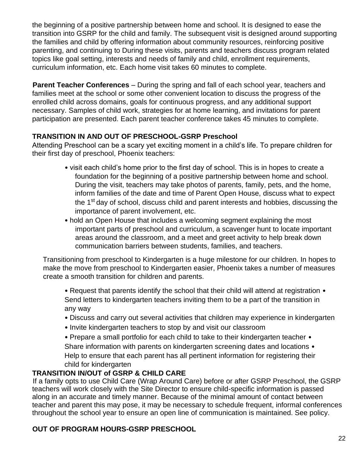the beginning of a positive partnership between home and school. It is designed to ease the transition into GSRP for the child and family. The subsequent visit is designed around supporting the families and child by offering information about community resources, reinforcing positive parenting, and continuing to During these visits, parents and teachers discuss program related topics like goal setting, interests and needs of family and child, enrollment requirements, curriculum information, etc. Each home visit takes 60 minutes to complete.

**Parent Teacher Conferences** – During the spring and fall of each school year, teachers and families meet at the school or some other convenient location to discuss the progress of the enrolled child across domains, goals for continuous progress, and any additional support necessary. Samples of child work, strategies for at home learning, and invitations for parent participation are presented. Each parent teacher conference takes 45 minutes to complete.

## **TRANSITION IN AND OUT OF PRESCHOOL-GSRP Preschool**

Attending Preschool can be a scary yet exciting moment in a child's life. To prepare children for their first day of preschool, Phoenix teachers:

- visit each child's home prior to the first day of school. This is in hopes to create a foundation for the beginning of a positive partnership between home and school. During the visit, teachers may take photos of parents, family, pets, and the home, inform families of the date and time of Parent Open House, discuss what to expect the 1<sup>st</sup> day of school, discuss child and parent interests and hobbies, discussing the importance of parent involvement, etc.
- hold an Open House that includes a welcoming segment explaining the most important parts of preschool and curriculum, a scavenger hunt to locate important areas around the classroom, and a meet and greet activity to help break down communication barriers between students, families, and teachers.

Transitioning from preschool to Kindergarten is a huge milestone for our children. In hopes to make the move from preschool to Kindergarten easier, Phoenix takes a number of measures create a smooth transition for children and parents.

• Request that parents identify the school that their child will attend at registration • Send letters to kindergarten teachers inviting them to be a part of the transition in any way

- Discuss and carry out several activities that children may experience in kindergarten
- Invite kindergarten teachers to stop by and visit our classroom

• Prepare a small portfolio for each child to take to their kindergarten teacher • Share information with parents on kindergarten screening dates and locations • Help to ensure that each parent has all pertinent information for registering their child for kindergarten

## **TRANSITION IN/OUT of GSRP & CHILD CARE**

If a family opts to use Child Care (Wrap Around Care) before or after GSRP Preschool, the GSRP teachers will work closely with the Site Director to ensure child-specific information is passed along in an accurate and timely manner. Because of the minimal amount of contact between teacher and parent this may pose, it may be necessary to schedule frequent, informal conferences throughout the school year to ensure an open line of communication is maintained. See policy.

## **OUT OF PROGRAM HOURS-GSRP PRESCHOOL**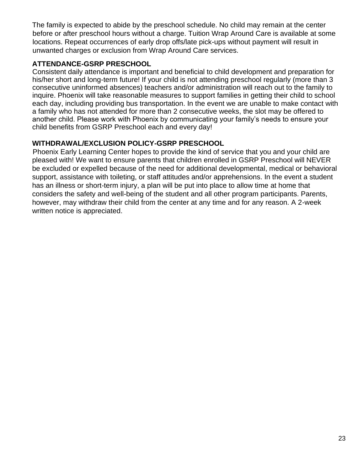The family is expected to abide by the preschool schedule. No child may remain at the center before or after preschool hours without a charge. Tuition Wrap Around Care is available at some locations. Repeat occurrences of early drop offs/late pick-ups without payment will result in unwanted charges or exclusion from Wrap Around Care services.

## **ATTENDANCE-GSRP PRESCHOOL**

Consistent daily attendance is important and beneficial to child development and preparation for his/her short and long-term future! If your child is not attending preschool regularly (more than 3 consecutive uninformed absences) teachers and/or administration will reach out to the family to inquire. Phoenix will take reasonable measures to support families in getting their child to school each day, including providing bus transportation. In the event we are unable to make contact with a family who has not attended for more than 2 consecutive weeks, the slot may be offered to another child. Please work with Phoenix by communicating your family's needs to ensure your child benefits from GSRP Preschool each and every day!

## **WITHDRAWAL/EXCLUSION POLICY-GSRP PRESCHOOL**

Phoenix Early Learning Center hopes to provide the kind of service that you and your child are pleased with! We want to ensure parents that children enrolled in GSRP Preschool will NEVER be excluded or expelled because of the need for additional developmental, medical or behavioral support, assistance with toileting, or staff attitudes and/or apprehensions. In the event a student has an illness or short-term injury, a plan will be put into place to allow time at home that considers the safety and well-being of the student and all other program participants. Parents, however, may withdraw their child from the center at any time and for any reason. A 2-week written notice is appreciated.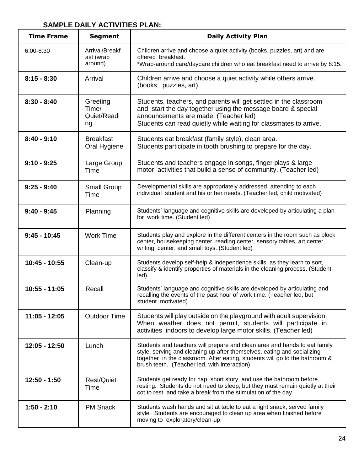## **SAMPLE DAILY ACTIVITIES PLAN:**

| <b>Time Frame</b> | <b>Segment</b>                         | <b>Daily Activity Plan</b>                                                                                                                                                                                                                                                          |  |
|-------------------|----------------------------------------|-------------------------------------------------------------------------------------------------------------------------------------------------------------------------------------------------------------------------------------------------------------------------------------|--|
| $6:00 - 8:30$     | Arrival/Breakf<br>ast (wrap<br>around) | Children arrive and choose a quiet activity (books, puzzles, art) and are<br>offered breakfast.<br>*Wrap-around care/daycare children who eat breakfast need to arrive by 8:15.                                                                                                     |  |
| $8:15 - 8:30$     | Arrival                                | Children arrive and choose a quiet activity while others arrive.<br>(books, puzzles, art).                                                                                                                                                                                          |  |
| $8:30 - 8:40$     | Greeting<br>Time/<br>Quiet/Readi<br>ng | Students, teachers, and parents will get settled in the classroom<br>and start the day together using the message board & special<br>announcements are made. (Teacher led)<br>Students can read quietly while waiting for classmates to arrive.                                     |  |
| $8:40 - 9:10$     | <b>Breakfast</b><br>Oral Hygiene       | Students eat breakfast (family style), clean area.<br>Students participate in tooth brushing to prepare for the day.                                                                                                                                                                |  |
| $9:10 - 9:25$     | Large Group<br>Time                    | Students and teachers engage in songs, finger plays & large<br>motor activities that build a sense of community. (Teacher led)                                                                                                                                                      |  |
| $9:25 - 9:40$     | Small Group<br>Time                    | Developmental skills are appropriately addressed, attending to each<br>individual student and his or her needs. (Teacher led, child motivated)                                                                                                                                      |  |
| $9:40 - 9:45$     | Planning                               | Students' language and cognitive skills are developed by articulating a plan<br>for work time. (Student led)                                                                                                                                                                        |  |
| $9:45 - 10:45$    | <b>Work Time</b>                       | Students play and explore in the different centers in the room such as block<br>center, housekeeping center, reading center, sensory tables, art center,<br>writing center, and small toys. (Student led)                                                                           |  |
| 10:45 - 10:55     | Clean-up                               | Students develop self-help & independence skills, as they learn to sort,<br>classify & identify properties of materials in the cleaning process. (Student<br>led)                                                                                                                   |  |
| 10:55 - 11:05     | Recall                                 | Students' language and cognitive skills are developed by articulating and<br>recalling the events of the past hour of work time. (Teacher led, but<br>student motivated)                                                                                                            |  |
| 11:05 - 12:05     | <b>Outdoor Time</b>                    | Students will play outside on the playground with adult supervision.<br>When weather does not permit, students will participate in<br>activities indoors to develop large motor skills. (Teacher led)                                                                               |  |
| 12:05 - 12:50     | Lunch                                  | Students and teachers will prepare and clean area and hands to eat family<br>style, serving and cleaning up after themselves, eating and socializing<br>together in the classroom. After eating, students will go to the bathroom &<br>brush teeth. (Teacher led, with interaction) |  |
| 12:50 - 1:50      | <b>Rest/Quiet</b><br>Time              | Students get ready for nap, short story, and use the bathroom before<br>resting. Students do not need to sleep, but they must remain quietly at their<br>cot to rest and take a break from the stimulation of the day.                                                              |  |
| $1:50 - 2:10$     | <b>PM Snack</b>                        | Students wash hands and sit at table to eat a light snack, served family<br>style. Students are encouraged to clean up area when finished before<br>moving to exploratory/clean-up.                                                                                                 |  |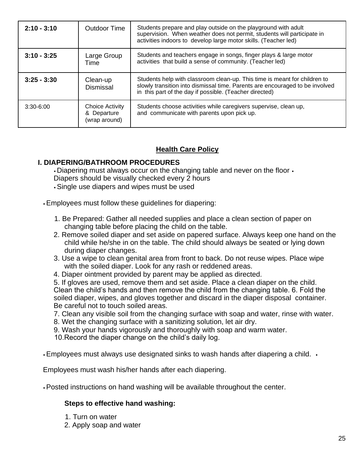| $2:10 - 3:10$ | <b>Outdoor Time</b>                                    | Students prepare and play outside on the playground with adult<br>supervision. When weather does not permit, students will participate in<br>activities indoors to develop large motor skills. (Teacher led)         |
|---------------|--------------------------------------------------------|----------------------------------------------------------------------------------------------------------------------------------------------------------------------------------------------------------------------|
| $3:10 - 3:25$ | Large Group<br>Time                                    | Students and teachers engage in songs, finger plays & large motor<br>activities that build a sense of community. (Teacher led)                                                                                       |
| $3:25 - 3:30$ | Clean-up<br>Dismissal                                  | Students help with classroom clean-up. This time is meant for children to<br>slowly transition into dismissal time. Parents are encouraged to be involved<br>in this part of the day if possible. (Teacher directed) |
| $3:30-6:00$   | <b>Choice Activity</b><br>& Departure<br>(wrap around) | Students choose activities while caregivers supervise, clean up,<br>and communicate with parents upon pick up.                                                                                                       |

## **Health Care Policy**

## **I. DIAPERING/BATHROOM PROCEDURES**

• Diapering must always occur on the changing table and never on the floor • Diapers should be visually checked every 2 hours

- Single use diapers and wipes must be used
- Employees must follow these guidelines for diapering:
	- 1. Be Prepared: Gather all needed supplies and place a clean section of paper on changing table before placing the child on the table.
	- 2. Remove soiled diaper and set aside on papered surface. Always keep one hand on the child while he/she in on the table. The child should always be seated or lying down during diaper changes.
	- 3. Use a wipe to clean genital area from front to back. Do not reuse wipes. Place wipe with the soiled diaper. Look for any rash or reddened areas.
	- 4. Diaper ointment provided by parent may be applied as directed.

5. If gloves are used, remove them and set aside. Place a clean diaper on the child. Clean the child's hands and then remove the child from the changing table. 6. Fold the soiled diaper, wipes, and gloves together and discard in the diaper disposal container. Be careful not to touch soiled areas.

- 7. Clean any visible soil from the changing surface with soap and water, rinse with water.
- 8. Wet the changing surface with a sanitizing solution, let air dry.
- 9. Wash your hands vigorously and thoroughly with soap and warm water.
- 10.Record the diaper change on the child's daily log.
- Employees must always use designated sinks to wash hands after diapering a child.  $\cdot$

Employees must wash his/her hands after each diapering.

• Posted instructions on hand washing will be available throughout the center.

#### **Steps to effective hand washing:**

- 1. Turn on water
- 2. Apply soap and water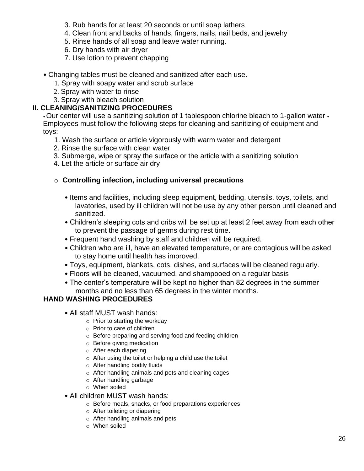- 3. Rub hands for at least 20 seconds or until soap lathers
- 4. Clean front and backs of hands, fingers, nails, nail beds, and jewelry
- 5. Rinse hands of all soap and leave water running.
- 6. Dry hands with air dryer
- 7. Use lotion to prevent chapping
- Changing tables must be cleaned and sanitized after each use.
	- 1. Spray with soapy water and scrub surface
	- 2. Spray with water to rinse
	- 3. Spray with bleach solution

## **II. CLEANING/SANITIZING PROCEDURES**

• Our center will use a sanitizing solution of 1 tablespoon chlorine bleach to 1-gallon water • Employees must follow the following steps for cleaning and sanitizing of equipment and toys:

- 1. Wash the surface or article vigorously with warm water and detergent
- 2. Rinse the surface with clean water
- 3. Submerge, wipe or spray the surface or the article with a sanitizing solution
- 4. Let the article or surface air dry

## o **Controlling infection, including universal precautions**

- Items and facilities, including sleep equipment, bedding, utensils, toys, toilets, and lavatories, used by ill children will not be use by any other person until cleaned and sanitized.
- Children's sleeping cots and cribs will be set up at least 2 feet away from each other to prevent the passage of germs during rest time.
- Frequent hand washing by staff and children will be required.
- Children who are ill, have an elevated temperature, or are contagious will be asked to stay home until health has improved.
- Toys, equipment, blankets, cots, dishes, and surfaces will be cleaned regularly.
- Floors will be cleaned, vacuumed, and shampooed on a regular basis
- The center's temperature will be kept no higher than 82 degrees in the summer months and no less than 65 degrees in the winter months.

## **HAND WASHING PROCEDURES**

- All staff MUST wash hands:
	- o Prior to starting the workday
	- o Prior to care of children
	- o Before preparing and serving food and feeding children
	- o Before giving medication
	- o After each diapering
	- o After using the toilet or helping a child use the toilet
	- o After handling bodily fluids
	- o After handling animals and pets and cleaning cages
	- o After handling garbage
	- o When soiled
- All children MUST wash hands:
	- o Before meals, snacks, or food preparations experiences
	- o After toileting or diapering
	- o After handling animals and pets
	- o When soiled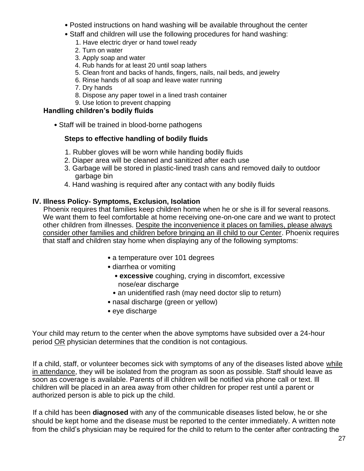- Posted instructions on hand washing will be available throughout the center
- Staff and children will use the following procedures for hand washing:
	- 1. Have electric dryer or hand towel ready
	- 2. Turn on water
	- 3. Apply soap and water
	- 4. Rub hands for at least 20 until soap lathers
	- 5. Clean front and backs of hands, fingers, nails, nail beds, and jewelry
	- 6. Rinse hands of all soap and leave water running
	- 7. Dry hands
	- 8. Dispose any paper towel in a lined trash container
	- 9. Use lotion to prevent chapping

## **Handling children's bodily fluids**

• Staff will be trained in blood-borne pathogens

## **Steps to effective handling of bodily fluids**

- 1. Rubber gloves will be worn while handing bodily fluids
- 2. Diaper area will be cleaned and sanitized after each use
- 3. Garbage will be stored in plastic-lined trash cans and removed daily to outdoor garbage bin
- 4. Hand washing is required after any contact with any bodily fluids

## **IV. Illness Policy- Symptoms, Exclusion, Isolation**

Phoenix requires that families keep children home when he or she is ill for several reasons. We want them to feel comfortable at home receiving one-on-one care and we want to protect other children from illnesses. Despite the inconvenience it places on families, please always consider other families and children before bringing an ill child to our Center. Phoenix requires that staff and children stay home when displaying any of the following symptoms:

- a temperature over 101 degrees
- diarrhea or vomiting
	- **excessive** coughing, crying in discomfort, excessive nose/ear discharge
	- an unidentified rash (may need doctor slip to return)
- nasal discharge (green or yellow)
- eye discharge

Your child may return to the center when the above symptoms have subsided over a 24-hour period OR physician determines that the condition is not contagious.

If a child, staff, or volunteer becomes sick with symptoms of any of the diseases listed above while in attendance, they will be isolated from the program as soon as possible. Staff should leave as soon as coverage is available. Parents of ill children will be notified via phone call or text. Ill children will be placed in an area away from other children for proper rest until a parent or authorized person is able to pick up the child.

If a child has been **diagnosed** with any of the communicable diseases listed below, he or she should be kept home and the disease must be reported to the center immediately. A written note from the child's physician may be required for the child to return to the center after contracting the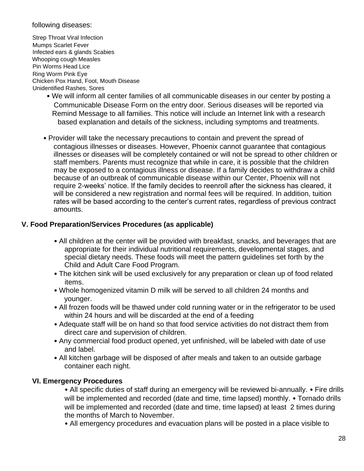#### following diseases:

Strep Throat Viral Infection Mumps Scarlet Fever Infected ears & glands Scabies Whooping cough Measles Pin Worms Head Lice Ring Worm Pink Eye Chicken Pox Hand, Foot, Mouth Disease Unidentified Rashes, Sores

- We will inform all center families of all communicable diseases in our center by posting a Communicable Disease Form on the entry door. Serious diseases will be reported via Remind Message to all families. This notice will include an Internet link with a research based explanation and details of the sickness, including symptoms and treatments.
- Provider will take the necessary precautions to contain and prevent the spread of contagious illnesses or diseases. However, Phoenix cannot guarantee that contagious illnesses or diseases will be completely contained or will not be spread to other children or staff members. Parents must recognize that while in care, it is possible that the children may be exposed to a contagious illness or disease. If a family decides to withdraw a child because of an outbreak of communicable disease within our Center, Phoenix will not require 2-weeks' notice. If the family decides to reenroll after the sickness has cleared, it will be considered a new registration and normal fees will be required. In addition, tuition rates will be based according to the center's current rates, regardless of previous contract amounts.

## **V. Food Preparation/Services Procedures (as applicable)**

- All children at the center will be provided with breakfast, snacks, and beverages that are appropriate for their individual nutritional requirements, developmental stages, and special dietary needs. These foods will meet the pattern guidelines set forth by the Child and Adult Care Food Program.
- The kitchen sink will be used exclusively for any preparation or clean up of food related items.
- Whole homogenized vitamin D milk will be served to all children 24 months and younger.
- All frozen foods will be thawed under cold running water or in the refrigerator to be used within 24 hours and will be discarded at the end of a feeding
- Adequate staff will be on hand so that food service activities do not distract them from direct care and supervision of children.
- Any commercial food product opened, yet unfinished, will be labeled with date of use and label.
- All kitchen garbage will be disposed of after meals and taken to an outside garbage container each night.

## **VI. Emergency Procedures**

• All specific duties of staff during an emergency will be reviewed bi-annually. • Fire drills will be implemented and recorded (date and time, time lapsed) monthly. • Tornado drills will be implemented and recorded (date and time, time lapsed) at least 2 times during the months of March to November.

• All emergency procedures and evacuation plans will be posted in a place visible to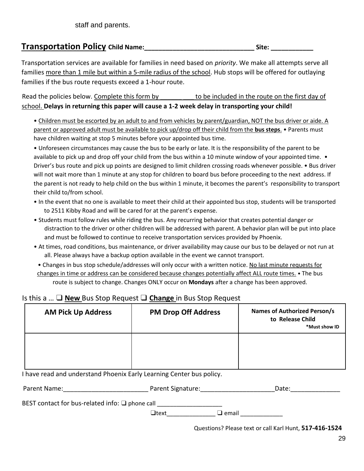# **Transportation Policy Child Name:\_\_\_\_\_\_\_\_\_\_\_\_\_\_\_\_\_\_\_\_\_\_\_\_\_\_\_\_\_\_\_ Site: \_\_\_\_\_\_\_\_\_\_\_\_**

Transportation services are available for families in need based on *priority*. We make all attempts serve all families more than 1 mile but within a 5-mile radius of the school. Hub stops will be offered for outlaying families if the bus route requests exceed a 1-hour route.

Read the policies below. Complete this form by to be included in the route on the first day of school. **Delays in returning this paper will cause a 1-2 week delay in transporting your child!** 

• Children must be escorted by an adult to and from vehicles by parent/guardian, NOT the bus driver or aide. A parent or approved adult must be available to pick up/drop off their child from the **bus steps**. • Parents must have children waiting at stop 5 minutes before your appointed bus time.

• Unforeseen circumstances may cause the bus to be early or late. It is the responsibility of the parent to be available to pick up and drop off your child from the bus within a 10 minute window of your appointed time. • Driver's bus route and pick up points are designed to limit children crossing roads whenever possible. • Bus driver will not wait more than 1 minute at any stop for children to board bus before proceeding to the next address. If the parent is not ready to help child on the bus within 1 minute, it becomes the parent's responsibility to transport their child to/from school.

- In the event that no one is available to meet their child at their appointed bus stop, students will be transported to 2511 Kibby Road and will be cared for at the parent's expense.
- Students must follow rules while riding the bus. Any recurring behavior that creates potential danger or distraction to the driver or other children will be addressed with parent. A behavior plan will be put into place and must be followed to continue to receive transportation services provided by Phoenix.
- At times, road conditions, bus maintenance, or driver availability may cause our bus to be delayed or not run at all. Please always have a backup option available in the event we cannot transport.
- Changes in bus stop schedule/addresses will only occur with a written notice. No last minute requests for changes in time or address can be considered because changes potentially affect ALL route times. • The bus

route is subject to change. Changes ONLY occur on **Mondays** after a change has been approved.

## Is this a … ❑ **New** Bus Stop Request ❑ **Change** in Bus Stop Request

| <b>AM Pick Up Address</b> | <b>PM Drop Off Address</b> | <b>Names of Authorized Person/s</b><br>to Release Child<br>*Must show ID |
|---------------------------|----------------------------|--------------------------------------------------------------------------|
|                           |                            |                                                                          |

I have read and understand Phoenix Early Learning Center bus policy.

| Parent Name: | Parent Signature: | Jdle. |
|--------------|-------------------|-------|
|              |                   |       |

BEST contact for bus-related info: □ phone call \_\_\_\_\_\_\_\_\_\_\_\_\_\_\_\_\_\_\_\_\_\_\_\_\_\_\_\_\_\_\_\_

 $\Box$ text $\Box$  email

Questions? Please text or call Karl Hunt, **517-416-1524**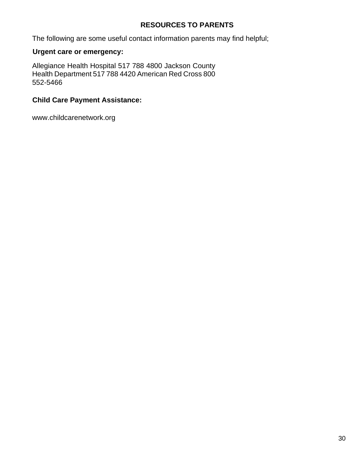## **RESOURCES TO PARENTS**

The following are some useful contact information parents may find helpful;

## **Urgent care or emergency:**

Allegiance Health Hospital 517 788 4800 Jackson County Health Department 517 788 4420 American Red Cross 800 552-5466

## **Child Care Payment Assistance:**

www.childcarenetwork.org